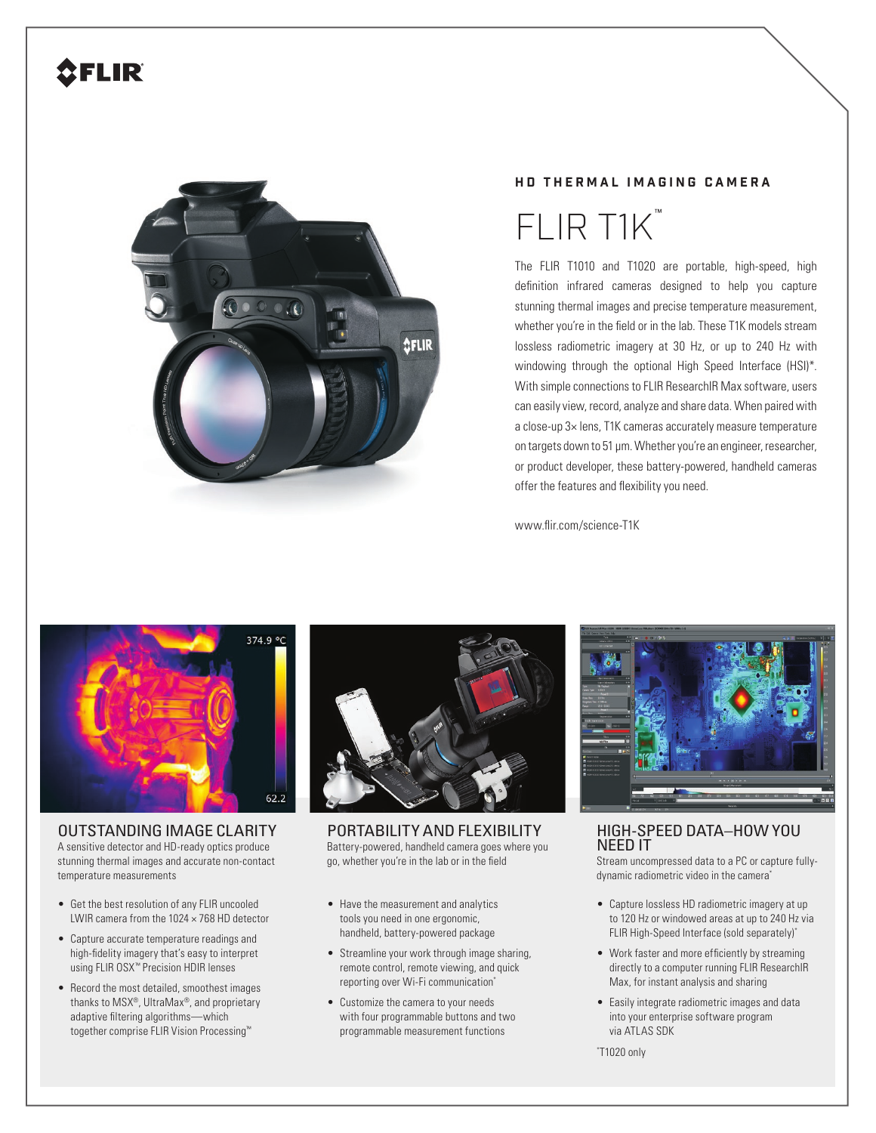## **2FLIR**



## **HD THERMAL IMAGING CAMERA**

## FLIR T1K ™

The FLIR T1010 and T1020 are portable, high-speed, high definition infrared cameras designed to help you capture stunning thermal images and precise temperature measurement, whether you're in the field or in the lab. These T1K models stream lossless radiometric imagery at 30 Hz, or up to 240 Hz with windowing through the optional High Speed Interface (HSI)\*. With simple connections to FLIR ResearchIR Max software, users can easily view, record, analyze and share data. When paired with a close-up 3× lens, T1K cameras accurately measure temperature on targets down to 51 µm. Whether you're an engineer, researcher, or product developer, these battery-powered, handheld cameras offer the features and flexibility you need.

www.flir.com/science-T1K



OUTSTANDING IMAGE CLARITY A sensitive detector and HD-ready optics produce stunning thermal images and accurate non-contact temperature measurements

- Get the best resolution of any FLIR uncooled LWIR camera from the  $1024 \times 768$  HD detector
- Capture accurate temperature readings and high-fidelity imagery that's easy to interpret using FLIR OSX™ Precision HDIR lenses
- Record the most detailed, smoothest images thanks to MSX®, UltraMax®, and proprietary adaptive filtering algorithms-which together comprise FLIR Vision Processing™



PORTABILITY AND FLEXIBILITY Battery-powered, handheld camera goes where you go, whether you're in the lab or in the field

- Have the measurement and analytics tools you need in one ergonomic, handheld, battery-powered package
- Streamline your work through image sharing, remote control, remote viewing, and quick reporting over Wi-Fi communication\*
- Customize the camera to your needs with four programmable buttons and two programmable measurement functions



HIGH-SPEED DATA–HOW YOU NEED IT

Stream uncompressed data to a PC or capture fullydynamic radiometric video in the camera\*

- Capture lossless HD radiometric imagery at up to 120 Hz or windowed areas at up to 240 Hz via FLIR High-Speed Interface (sold separately)\*
- Work faster and more efficiently by streaming directly to a computer running FLIR ResearchIR Max, for instant analysis and sharing
- Easily integrate radiometric images and data into your enterprise software program via ATLAS SDK

\* T1020 only